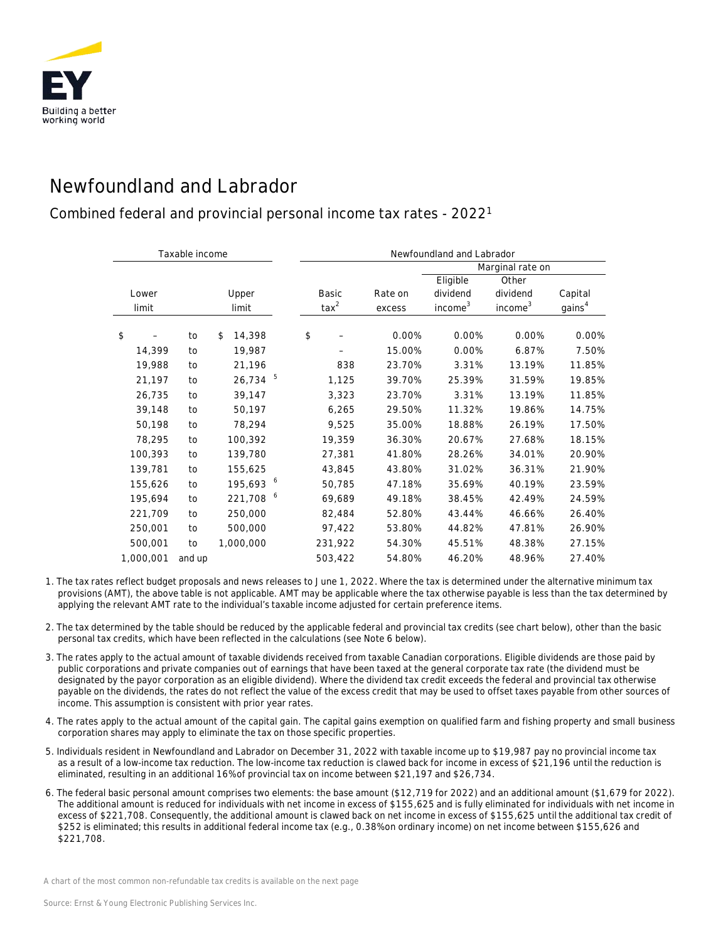

## Newfoundland and Labrador

## Combined federal and provincial personal income tax rates - 20221

| Taxable income |           |        |              |    | Newfoundland and Labrador |         |                     |                     |                    |  |
|----------------|-----------|--------|--------------|----|---------------------------|---------|---------------------|---------------------|--------------------|--|
|                |           |        |              |    |                           |         | Marginal rate on    |                     |                    |  |
|                |           |        |              |    |                           |         | Eligible            | Other               |                    |  |
| Lower          |           | Upper  |              |    | Basic                     | Rate on | dividend            | dividend            | Capital            |  |
| limit          |           | limit  |              |    | $\text{tax}^2$            | excess  | income <sup>3</sup> | income <sup>3</sup> | gains <sup>4</sup> |  |
| \$             |           | to     | \$<br>14,398 |    | \$                        | 0.00%   | 0.00%               | 0.00%               | 0.00%              |  |
|                | 14,399    | to     | 19,987       |    |                           | 15.00%  | 0.00%               | 6.87%               | 7.50%              |  |
|                | 19,988    | to     | 21,196       |    | 838                       | 23.70%  | 3.31%               | 13.19%              | 11.85%             |  |
|                | 21,197    | to     | 26,734       | -5 | 1,125                     | 39.70%  | 25.39%              | 31.59%              | 19.85%             |  |
|                | 26,735    | to     | 39,147       |    | 3,323                     | 23.70%  | 3.31%               | 13.19%              | 11.85%             |  |
|                | 39,148    | to     | 50,197       |    | 6,265                     | 29.50%  | 11.32%              | 19.86%              | 14.75%             |  |
|                | 50,198    | to     | 78,294       |    | 9,525                     | 35.00%  | 18.88%              | 26.19%              | 17.50%             |  |
|                | 78,295    | to     | 100,392      |    | 19,359                    | 36.30%  | 20.67%              | 27.68%              | 18.15%             |  |
|                | 100,393   | to     | 139,780      |    | 27,381                    | 41.80%  | 28.26%              | 34.01%              | 20.90%             |  |
|                | 139,781   | to     | 155,625      |    | 43,845                    | 43.80%  | 31.02%              | 36.31%              | 21.90%             |  |
|                | 155,626   | to     | 195,693 6    |    | 50,785                    | 47.18%  | 35.69%              | 40.19%              | 23.59%             |  |
|                | 195,694   | to     | 221,708 6    |    | 69,689                    | 49.18%  | 38.45%              | 42.49%              | 24.59%             |  |
|                | 221,709   | to     | 250,000      |    | 82,484                    | 52.80%  | 43.44%              | 46.66%              | 26.40%             |  |
|                | 250,001   | to     | 500,000      |    | 97,422                    | 53.80%  | 44.82%              | 47.81%              | 26.90%             |  |
|                | 500,001   | to     | 1,000,000    |    | 231,922                   | 54.30%  | 45.51%              | 48.38%              | 27.15%             |  |
|                | 1,000,001 | and up |              |    | 503,422                   | 54.80%  | 46.20%              | 48.96%              | 27.40%             |  |

- 1. The tax rates reflect budget proposals and news releases to June 1, 2022. Where the tax is determined under the alternative minimum tax provisions (AMT), the above table is not applicable. AMT may be applicable where the tax otherwise payable is less than the tax determined by applying the relevant AMT rate to the individual's taxable income adjusted for certain preference items.
- 2. The tax determined by the table should be reduced by the applicable federal and provincial tax credits (see chart below), other than the basic personal tax credits, which have been reflected in the calculations (see Note 6 below).
- 3. The rates apply to the actual amount of taxable dividends received from taxable Canadian corporations. Eligible dividends are those paid by public corporations and private companies out of earnings that have been taxed at the general corporate tax rate (the dividend must be designated by the payor corporation as an eligible dividend). Where the dividend tax credit exceeds the federal and provincial tax otherwise payable on the dividends, the rates do not reflect the value of the excess credit that may be used to offset taxes payable from other sources of income. This assumption is consistent with prior year rates.
- 4. The rates apply to the actual amount of the capital gain. The capital gains exemption on qualified farm and fishing property and small business corporation shares may apply to eliminate the tax on those specific properties.
- 5. Individuals resident in Newfoundland and Labrador on December 31, 2022 with taxable income up to \$19,987 pay no provincial income tax as a result of a low-income tax reduction. The low-income tax reduction is clawed back for income in excess of \$21,196 until the reduction is eliminated, resulting in an additional 16% of provincial tax on income between \$21,197 and \$26,734.
- 6. The federal basic personal amount comprises two elements: the base amount (\$12,719 for 2022) and an additional amount (\$1,679 for 2022). The additional amount is reduced for individuals with net income in excess of \$155,625 and is fully eliminated for individuals with net income in excess of \$221,708. Consequently, the additional amount is clawed back on net income in excess of \$155,625 until the additional tax credit of \$252 is eliminated; this results in additional federal income tax (e.g., 0.38% on ordinary income) on net income between \$155,626 and \$221,708.

*A chart of the most common non-refundable tax credits is available on the next page*